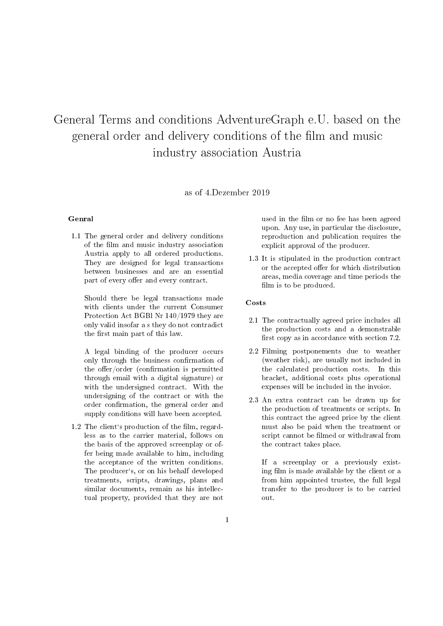# General Terms and conditions AdventureGraph e.U. based on the general order and delivery conditions of the film and music industry association Austria

## as of 4.Dezember 2019

#### Genral

1.1 The general order and delivery conditions of the film and music industry association Austria apply to all ordered productions. They are designed for legal transactions between businesses and are an essential part of every offer and every contract.

Should there be legal transactions made with clients under the current Consumer Protection Act BGBl Nr 140/1979 they are only valid insofar a s they do not contradict the first main part of this law.

A legal binding of the producer occurs only through the business confirmation of the offer/order (confirmation is permitted through email with a digital signature) or with the undersigned contract. With the undersigning of the contract or with the order confirmation, the general order and supply conditions will have been accepted.

1.2 The client's production of the film, regardless as to the carrier material, follows on the basis of the approved screenplay or offer being made available to him, including the acceptance of the written conditions. The producer`s, or on his behalf developed treatments, scripts, drawings, plans and similar documents, remain as his intellectual property, provided that they are not

used in the film or no fee has been agreed upon. Any use, in particular the disclosure, reproduction and publication requires the explicit approval of the producer.

1.3 It is stipulated in the production contract or the accepted offer for which distribution areas, media coverage and time periods the film is to be produced.

#### Costs

- 2.1 The contractually agreed price includes all the production costs and a demonstrable first copy as in accordance with section  $7.2$ .
- 2.2 Filming postponements due to weather (weather risk), are usually not included in the calculated production costs. In this bracket, additional costs plus operational expenses will be included in the invoice.
- 2.3 An extra contract can be drawn up for the production of treatments or scripts. In this contract the agreed price by the client must also be paid when the treatment or script cannot be filmed or withdrawal from the contract takes place.

If a screenplay or a previously existing film is made available by the client or a from him appointed trustee, the full legal transfer to the producer is to be carried out.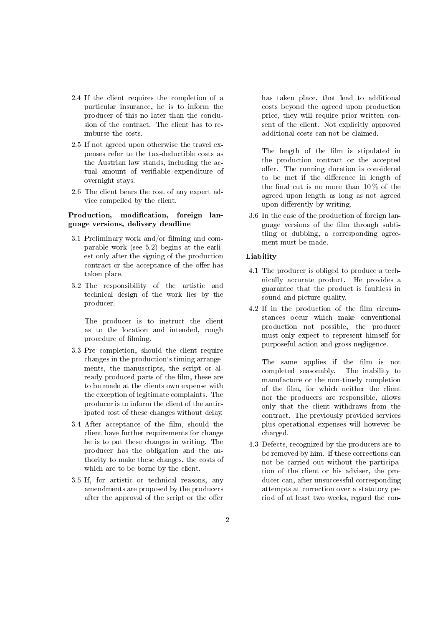- 2.4 If the client requires the completion of a particular insurance, he is to inform the producer of this no later than the conclusion of the contract. The client has to reimburse the costs.
- 2.5 If not agreed upon otherwise the travel expenses refer to the tax-deductible costs as the Austrian law stands, including the actual amount of verifiable expenditure of overnight stays.
- 2.6 The client bears the cost of any expert advice compelled by the client.

## Production, modification, foreign language versions, delivery deadline

- 3.1 Preliminary work and/or filming and comparable work (see 5.2) begins at the earliest only after the signing of the production contract or the acceptance of the offer has taken place.
- 3.2 The responsibility of the artistic and technical design of the work lies by the producer.

The producer is to instruct the client as to the location and intended, rough procedure of filming.

- 3.3 Pre completion, should the client require changes in the production`s timing arrangements, the manuscripts, the script or already produced parts of the film, these are to be made at the clients own expense with the exception of legitimate complaints. The producer is to inform the client of the anticipated cost of these changes without delay.
- 3.4 After acceptance of the film, should the client have further requirements for change he is to put these changes in writing. The producer has the obligation and the authority to make these changes, the costs of which are to be borne by the client.
- 3.5 If, for artistic or technical reasons, any amendments are proposed by the producers after the approval of the script or the offer

has taken place, that lead to additional costs beyond the agreed upon production price, they will require prior written consent of the client. Not explicitly approved additional costs can not be claimed.

The length of the film is stipulated in the production contract or the accepted offer. The running duration is considered to be met if the difference in length of the final cut is no more than  $10\%$  of the agreed upon length as long as not agreed upon differently by writing.

3.6 In the case of the production of foreign language versions of the film through subtitling or dubbing, a corresponding agreement must be made.

## Liability

- 4.1 The producer is obliged to produce a technically accurate product. He provides a guarantee that the product is faultless in sound and picture quality.
- 4.2 If in the production of the film circumstances occur which make conventional production not possible, the producer must only expect to represent himself for purposeful action and gross negligence.

The same applies if the film is not completed seasonably. The inability to manufacture or the non-timely completion of the film, for which neither the client nor the producers are responsible, allows only that the client withdraws from the contract. The previously provided services plus operational expenses will however be charged.

4.3 Defects, recognized by the producers are to be removed by him. If these corrections can not be carried out without the participation of the client or his adviser, the producer can, after unsuccessful corresponding attempts at correction over a statutory period of at least two weeks, regard the con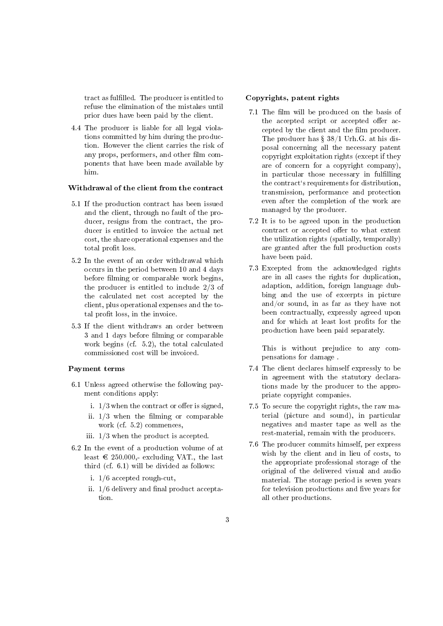tract as fullled. The producer is entitled to refuse the elimination of the mistakes until prior dues have been paid by the client.

4.4 The producer is liable for all legal violations committed by him during the production. However the client carries the risk of any props, performers, and other film components that have been made available by him.

## Withdrawal of the client from the contract

- 5.1 If the production contract has been issued and the client, through no fault of the producer, resigns from the contract, the producer is entitled to invoice the actual net cost, the share operational expenses and the total profit loss.
- 5.2 In the event of an order withdrawal which occurs in the period between 10 and 4 days before filming or comparable work begins, the producer is entitled to include 2/3 of the calculated net cost accepted by the client, plus operational expenses and the total profit loss, in the invoice.
- 5.3 If the client withdraws an order between 3 and 1 days before filming or comparable work begins (cf. 5.2), the total calculated commissioned cost will be invoiced.

#### Payment terms

- 6.1 Unless agreed otherwise the following payment conditions apply:
	- i.  $1/3$  when the contract or offer is signed,
	- ii.  $1/3$  when the filming or comparable work (cf. 5.2) commences,
	- iii. 1/3 when the product is accepted.
- 6.2 In the event of a production volume of at least  $\text{\textsterling} 250.000$ ,- excluding VAT., the last third (cf. 6.1) will be divided as follows:
	- i. 1/6 accepted rough-cut,
	- ii.  $1/6$  delivery and final product acceptation.

#### Copyrights, patent rights

- 7.1 The film will be produced on the basis of the accepted script or accepted offer accepted by the client and the film producer. The producer has  $\S 38/1$  Urh.G. at his disposal concerning all the necessary patent copyright exploitation rights (except if they are of concern for a copyright company), in particular those necessary in fullling the contract`s requirements for distribution, transmission, performance and protection even after the completion of the work are managed by the producer.
- 7.2 It is to be agreed upon in the production contract or accepted offer to what extent the utilization rights (spatially, temporally) are granted after the full production costs have been paid.
- 7.3 Excepted from the acknowledged rights are in all cases the rights for duplication, adaption, addition, foreign language dubbing and the use of excerpts in picture and/or sound, in as far as they have not been contractually, expressly agreed upon and for which at least lost profits for the production have been paid separately.

This is without prejudice to any compensations for damage .

- 7.4 The client declares himself expressly to be in agreement with the statutory declarations made by the producer to the appropriate copyright companies.
- 7.5 To secure the copyright rights, the raw material (picture and sound), in particular negatives and master tape as well as the rest-material, remain with the producers.
- 7.6 The producer commits himself, per express wish by the client and in lieu of costs, to the appropriate professional storage of the original of the delivered visual and audio material. The storage period is seven years for television productions and five years for all other productions.